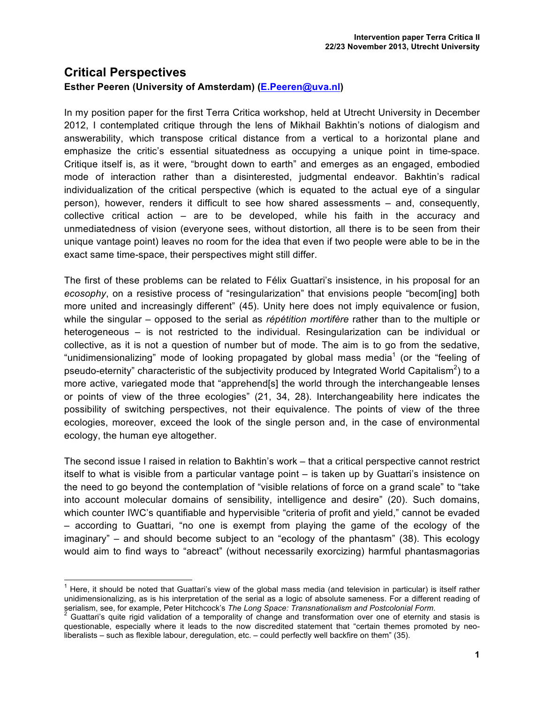## **Critical Perspectives**

## **Esther Peeren (University of Amsterdam) (E.Peeren@uva.nl)**

In my position paper for the first Terra Critica workshop, held at Utrecht University in December 2012, I contemplated critique through the lens of Mikhail Bakhtin's notions of dialogism and answerability, which transpose critical distance from a vertical to a horizontal plane and emphasize the critic's essential situatedness as occupying a unique point in time-space. Critique itself is, as it were, "brought down to earth" and emerges as an engaged, embodied mode of interaction rather than a disinterested, judgmental endeavor. Bakhtin's radical individualization of the critical perspective (which is equated to the actual eye of a singular person), however, renders it difficult to see how shared assessments – and, consequently, collective critical action – are to be developed, while his faith in the accuracy and unmediatedness of vision (everyone sees, without distortion, all there is to be seen from their unique vantage point) leaves no room for the idea that even if two people were able to be in the exact same time-space, their perspectives might still differ.

The first of these problems can be related to Félix Guattari's insistence, in his proposal for an *ecosophy*, on a resistive process of "resingularization" that envisions people "becom[ing] both more united and increasingly different" (45). Unity here does not imply equivalence or fusion, while the singular – opposed to the serial as *répétition mortifère* rather than to the multiple or heterogeneous – is not restricted to the individual. Resingularization can be individual or collective, as it is not a question of number but of mode. The aim is to go from the sedative, "unidimensionalizing" mode of looking propagated by global mass media<sup>1</sup> (or the "feeling of pseudo-eternity" characteristic of the subjectivity produced by Integrated World Capitalism<sup>2</sup>) to a more active, variegated mode that "apprehend[s] the world through the interchangeable lenses or points of view of the three ecologies" (21, 34, 28). Interchangeability here indicates the possibility of switching perspectives, not their equivalence. The points of view of the three ecologies, moreover, exceed the look of the single person and, in the case of environmental ecology, the human eye altogether.

The second issue I raised in relation to Bakhtin's work – that a critical perspective cannot restrict itself to what is visible from a particular vantage point – is taken up by Guattari's insistence on the need to go beyond the contemplation of "visible relations of force on a grand scale" to "take into account molecular domains of sensibility, intelligence and desire" (20). Such domains, which counter IWC's quantifiable and hypervisible "criteria of profit and yield," cannot be evaded – according to Guattari, "no one is exempt from playing the game of the ecology of the imaginary" – and should become subject to an "ecology of the phantasm" (38). This ecology would aim to find ways to "abreact" (without necessarily exorcizing) harmful phantasmagorias

 $<sup>1</sup>$  Here, it should be noted that Guattari's view of the global mass media (and television in particular) is itself rather</sup> unidimensionalizing, as is his interpretation of the serial as a logic of absolute sameness. For a different reading of serialism, see, for example, Peter Hitchcock's The Long Space: Transnationalism and Postcolonial Form.<br><sup>2</sup> Guattari's quite rigid validation of a temporality of change and transformation over one of eternity and stasis is

questionable, especially where it leads to the now discredited statement that "certain themes promoted by neoliberalists – such as flexible labour, deregulation, etc. – could perfectly well backfire on them" (35).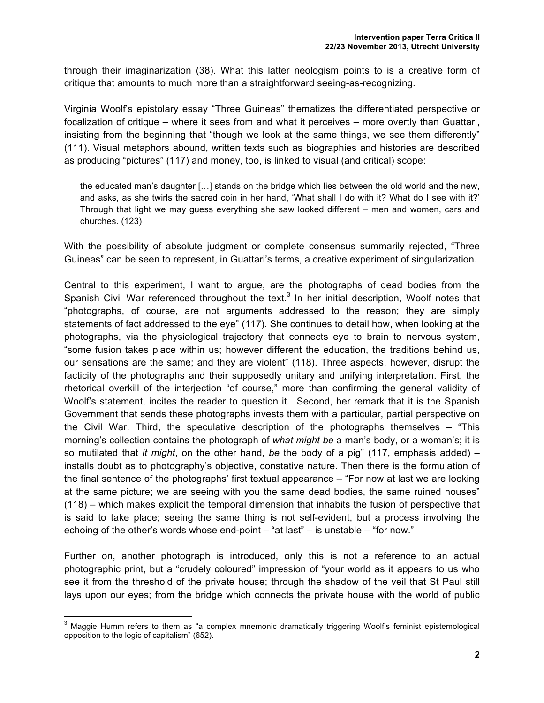through their imaginarization (38). What this latter neologism points to is a creative form of critique that amounts to much more than a straightforward seeing-as-recognizing.

Virginia Woolf's epistolary essay "Three Guineas" thematizes the differentiated perspective or focalization of critique – where it sees from and what it perceives – more overtly than Guattari, insisting from the beginning that "though we look at the same things, we see them differently" (111). Visual metaphors abound, written texts such as biographies and histories are described as producing "pictures" (117) and money, too, is linked to visual (and critical) scope:

the educated man's daughter […] stands on the bridge which lies between the old world and the new, and asks, as she twirls the sacred coin in her hand, 'What shall I do with it? What do I see with it?' Through that light we may guess everything she saw looked different – men and women, cars and churches. (123)

With the possibility of absolute judgment or complete consensus summarily rejected, "Three Guineas" can be seen to represent, in Guattari's terms, a creative experiment of singularization.

Central to this experiment, I want to argue, are the photographs of dead bodies from the Spanish Civil War referenced throughout the text.<sup>3</sup> In her initial description, Woolf notes that "photographs, of course, are not arguments addressed to the reason; they are simply statements of fact addressed to the eye" (117). She continues to detail how, when looking at the photographs, via the physiological trajectory that connects eye to brain to nervous system, "some fusion takes place within us; however different the education, the traditions behind us, our sensations are the same; and they are violent" (118). Three aspects, however, disrupt the facticity of the photographs and their supposedly unitary and unifying interpretation. First, the rhetorical overkill of the interjection "of course," more than confirming the general validity of Woolf's statement, incites the reader to question it. Second, her remark that it is the Spanish Government that sends these photographs invests them with a particular, partial perspective on the Civil War. Third, the speculative description of the photographs themselves – "This morning's collection contains the photograph of *what might be* a man's body, or a woman's; it is so mutilated that *it might*, on the other hand, *be* the body of a pig" (117, emphasis added) – installs doubt as to photography's objective, constative nature. Then there is the formulation of the final sentence of the photographs' first textual appearance – "For now at last we are looking at the same picture; we are seeing with you the same dead bodies, the same ruined houses" (118) – which makes explicit the temporal dimension that inhabits the fusion of perspective that is said to take place; seeing the same thing is not self-evident, but a process involving the echoing of the other's words whose end-point – "at last" – is unstable – "for now."

Further on, another photograph is introduced, only this is not a reference to an actual photographic print, but a "crudely coloured" impression of "your world as it appears to us who see it from the threshold of the private house; through the shadow of the veil that St Paul still lays upon our eyes; from the bridge which connects the private house with the world of public

<sup>&</sup>lt;sup>3</sup> Maggie Humm refers to them as "a complex mnemonic dramatically triggering Woolf's feminist epistemological opposition to the logic of capitalism" (652).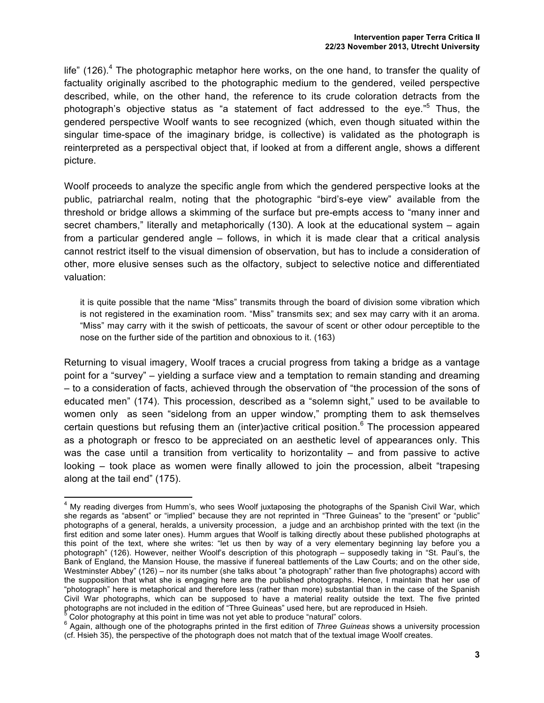life" (126). $4$  The photographic metaphor here works, on the one hand, to transfer the quality of factuality originally ascribed to the photographic medium to the gendered, veiled perspective described, while, on the other hand, the reference to its crude coloration detracts from the photograph's objective status as "a statement of fact addressed to the eye."<sup>5</sup> Thus, the gendered perspective Woolf wants to see recognized (which, even though situated within the singular time-space of the imaginary bridge, is collective) is validated as the photograph is reinterpreted as a perspectival object that, if looked at from a different angle, shows a different picture.

Woolf proceeds to analyze the specific angle from which the gendered perspective looks at the public, patriarchal realm, noting that the photographic "bird's-eye view" available from the threshold or bridge allows a skimming of the surface but pre-empts access to "many inner and secret chambers," literally and metaphorically (130). A look at the educational system – again from a particular gendered angle – follows, in which it is made clear that a critical analysis cannot restrict itself to the visual dimension of observation, but has to include a consideration of other, more elusive senses such as the olfactory, subject to selective notice and differentiated valuation:

it is quite possible that the name "Miss" transmits through the board of division some vibration which is not registered in the examination room. "Miss" transmits sex; and sex may carry with it an aroma. "Miss" may carry with it the swish of petticoats, the savour of scent or other odour perceptible to the nose on the further side of the partition and obnoxious to it. (163)

Returning to visual imagery, Woolf traces a crucial progress from taking a bridge as a vantage point for a "survey" – yielding a surface view and a temptation to remain standing and dreaming – to a consideration of facts, achieved through the observation of "the procession of the sons of educated men" (174). This procession, described as a "solemn sight," used to be available to women only as seen "sidelong from an upper window," prompting them to ask themselves certain questions but refusing them an (inter)active critical position.<sup>6</sup> The procession appeared as a photograph or fresco to be appreciated on an aesthetic level of appearances only. This was the case until a transition from verticality to horizontality – and from passive to active looking – took place as women were finally allowed to join the procession, albeit "trapesing along at the tail end" (175).

<sup>&</sup>lt;sup>4</sup> My reading diverges from Humm's, who sees Woolf juxtaposing the photographs of the Spanish Civil War, which she regards as "absent" or "implied" because they are not reprinted in "Three Guineas" to the "present" or "public" photographs of a general, heralds, a university procession, a judge and an archbishop printed with the text (in the first edition and some later ones). Humm argues that Woolf is talking directly about these published photographs at this point of the text, where she writes: "let us then by way of a very elementary beginning lay before you a photograph" (126). However, neither Woolf's description of this photograph – supposedly taking in "St. Paul's, the Bank of England, the Mansion House, the massive if funereal battlements of the Law Courts; and on the other side, Westminster Abbey" (126) – nor its number (she talks about "a photograph" rather than five photographs) accord with the supposition that what she is engaging here are the published photographs. Hence, I maintain that her use of "photograph" here is metaphorical and therefore less (rather than more) substantial than in the case of the Spanish Civil War photographs, which can be supposed to have a material reality outside the text. The five printed photographs are not included in the edition of "Three Guineas" used here, but are reproduced in Hsieh.<br>Color photography at this point in time was not yet able to produce "natural" colors.

<sup>&</sup>lt;sup>6</sup> Again, although one of the photographs printed in the first edition of *Three Guineas* shows a university procession (cf. Hsieh 35), the perspective of the photograph does not match that of the textual image Woolf creates.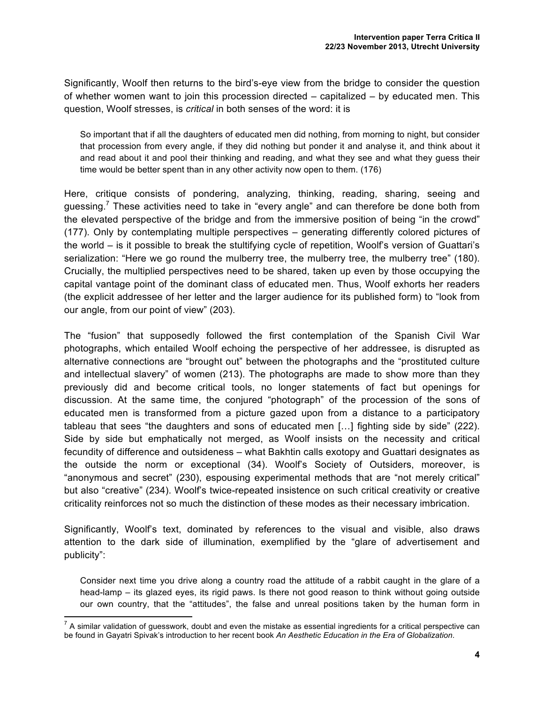Significantly, Woolf then returns to the bird's-eye view from the bridge to consider the question of whether women want to join this procession directed – capitalized – by educated men. This question, Woolf stresses, is *critical* in both senses of the word: it is

So important that if all the daughters of educated men did nothing, from morning to night, but consider that procession from every angle, if they did nothing but ponder it and analyse it, and think about it and read about it and pool their thinking and reading, and what they see and what they guess their time would be better spent than in any other activity now open to them. (176)

Here, critique consists of pondering, analyzing, thinking, reading, sharing, seeing and guessing.<sup>7</sup> These activities need to take in "every angle" and can therefore be done both from the elevated perspective of the bridge and from the immersive position of being "in the crowd" (177). Only by contemplating multiple perspectives – generating differently colored pictures of the world – is it possible to break the stultifying cycle of repetition, Woolf's version of Guattari's serialization: "Here we go round the mulberry tree, the mulberry tree, the mulberry tree" (180). Crucially, the multiplied perspectives need to be shared, taken up even by those occupying the capital vantage point of the dominant class of educated men. Thus, Woolf exhorts her readers (the explicit addressee of her letter and the larger audience for its published form) to "look from our angle, from our point of view" (203).

The "fusion" that supposedly followed the first contemplation of the Spanish Civil War photographs, which entailed Woolf echoing the perspective of her addressee, is disrupted as alternative connections are "brought out" between the photographs and the "prostituted culture and intellectual slavery" of women (213). The photographs are made to show more than they previously did and become critical tools, no longer statements of fact but openings for discussion. At the same time, the conjured "photograph" of the procession of the sons of educated men is transformed from a picture gazed upon from a distance to a participatory tableau that sees "the daughters and sons of educated men […] fighting side by side" (222). Side by side but emphatically not merged, as Woolf insists on the necessity and critical fecundity of difference and outsideness – what Bakhtin calls exotopy and Guattari designates as the outside the norm or exceptional (34). Woolf's Society of Outsiders, moreover, is "anonymous and secret" (230), espousing experimental methods that are "not merely critical" but also "creative" (234). Woolf's twice-repeated insistence on such critical creativity or creative criticality reinforces not so much the distinction of these modes as their necessary imbrication.

Significantly, Woolf's text, dominated by references to the visual and visible, also draws attention to the dark side of illumination, exemplified by the "glare of advertisement and publicity":

Consider next time you drive along a country road the attitude of a rabbit caught in the glare of a head-lamp – its glazed eyes, its rigid paws. Is there not good reason to think without going outside our own country, that the "attitudes", the false and unreal positions taken by the human form in

 $<sup>7</sup>$  A similar validation of guesswork, doubt and even the mistake as essential ingredients for a critical perspective can</sup> be found in Gayatri Spivak's introduction to her recent book *An Aesthetic Education in the Era of Globalization*.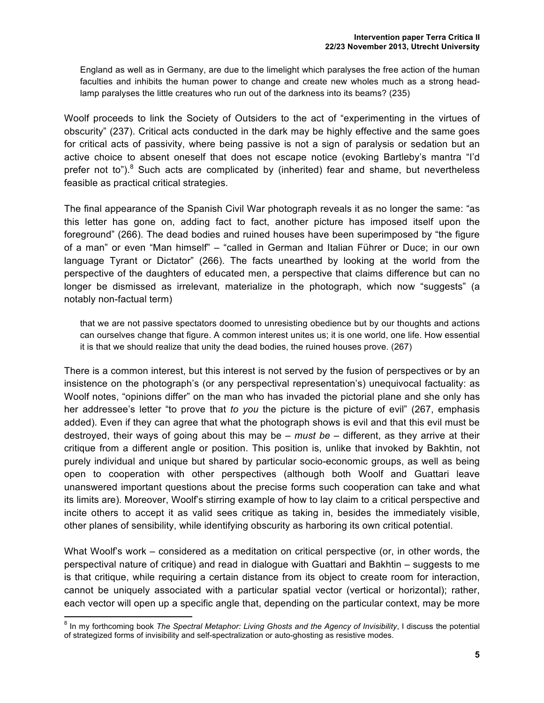England as well as in Germany, are due to the limelight which paralyses the free action of the human faculties and inhibits the human power to change and create new wholes much as a strong headlamp paralyses the little creatures who run out of the darkness into its beams? (235)

Woolf proceeds to link the Society of Outsiders to the act of "experimenting in the virtues of obscurity" (237). Critical acts conducted in the dark may be highly effective and the same goes for critical acts of passivity, where being passive is not a sign of paralysis or sedation but an active choice to absent oneself that does not escape notice (evoking Bartleby's mantra "I'd prefer not to").<sup>8</sup> Such acts are complicated by (inherited) fear and shame, but nevertheless feasible as practical critical strategies.

The final appearance of the Spanish Civil War photograph reveals it as no longer the same: "as this letter has gone on, adding fact to fact, another picture has imposed itself upon the foreground" (266). The dead bodies and ruined houses have been superimposed by "the figure of a man" or even "Man himself" – "called in German and Italian Führer or Duce; in our own language Tyrant or Dictator" (266). The facts unearthed by looking at the world from the perspective of the daughters of educated men, a perspective that claims difference but can no longer be dismissed as irrelevant, materialize in the photograph, which now "suggests" (a notably non-factual term)

that we are not passive spectators doomed to unresisting obedience but by our thoughts and actions can ourselves change that figure. A common interest unites us; it is one world, one life. How essential it is that we should realize that unity the dead bodies, the ruined houses prove. (267)

There is a common interest, but this interest is not served by the fusion of perspectives or by an insistence on the photograph's (or any perspectival representation's) unequivocal factuality: as Woolf notes, "opinions differ" on the man who has invaded the pictorial plane and she only has her addressee's letter "to prove that *to you* the picture is the picture of evil" (267, emphasis added). Even if they can agree that what the photograph shows is evil and that this evil must be destroyed, their ways of going about this may be – *must be* – different, as they arrive at their critique from a different angle or position. This position is, unlike that invoked by Bakhtin, not purely individual and unique but shared by particular socio-economic groups, as well as being open to cooperation with other perspectives (although both Woolf and Guattari leave unanswered important questions about the precise forms such cooperation can take and what its limits are). Moreover, Woolf's stirring example of how to lay claim to a critical perspective and incite others to accept it as valid sees critique as taking in, besides the immediately visible, other planes of sensibility, while identifying obscurity as harboring its own critical potential.

What Woolf's work – considered as a meditation on critical perspective (or, in other words, the perspectival nature of critique) and read in dialogue with Guattari and Bakhtin – suggests to me is that critique, while requiring a certain distance from its object to create room for interaction, cannot be uniquely associated with a particular spatial vector (vertical or horizontal); rather, each vector will open up a specific angle that, depending on the particular context, may be more

<sup>&</sup>lt;sup>8</sup> In my forthcoming book *The Spectral Metaphor: Living Ghosts and the Agency of Invisibility*, I discuss the potential of strategized forms of invisibility and self-spectralization or auto-ghosting as resistive modes.